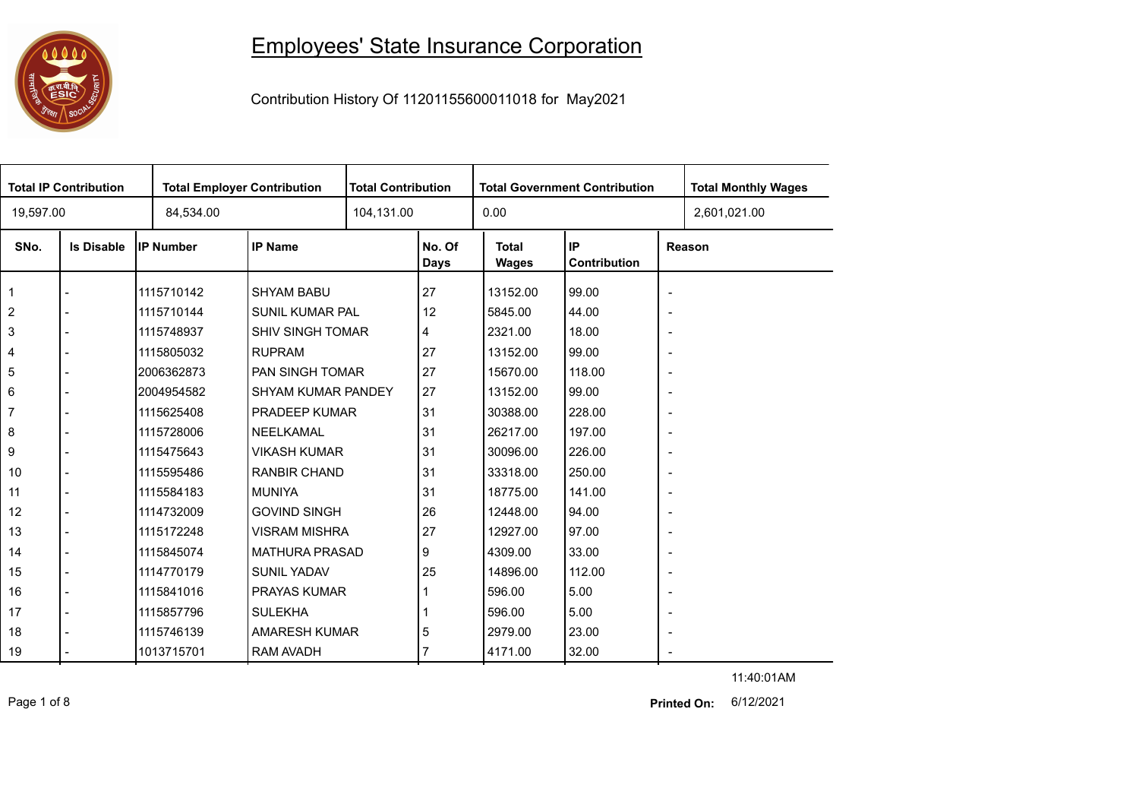## 

## Employees' State Insurance Corporation

Contribution History Of 11201155600011018 for May2021

| <b>Total IP Contribution</b> |                   |                  | <b>Total Employer Contribution</b> |  | <b>Total Contribution</b><br><b>Total Government Contribution</b> |                              |                    |                          | <b>Total Monthly Wages</b> |
|------------------------------|-------------------|------------------|------------------------------------|--|-------------------------------------------------------------------|------------------------------|--------------------|--------------------------|----------------------------|
| 19,597.00                    |                   | 84,534.00        |                                    |  | 104,131.00                                                        |                              |                    |                          | 2,601,021.00               |
| SNo.                         | <b>Is Disable</b> | <b>IP Number</b> | <b>IP Name</b>                     |  | No. Of<br><b>Days</b>                                             | <b>Total</b><br><b>Wages</b> | IP<br>Contribution |                          | Reason                     |
| $\mathbf 1$                  |                   | 1115710142       | <b>SHYAM BABU</b>                  |  | 27                                                                | 13152.00                     | 99.00              | $\overline{\phantom{a}}$ |                            |
| $\overline{2}$               |                   | 1115710144       | <b>SUNIL KUMAR PAL</b>             |  | 12                                                                | 5845.00                      | 44.00              | $\overline{\phantom{a}}$ |                            |
| 3                            |                   | 1115748937       | SHIV SINGH TOMAR                   |  | 4                                                                 | 2321.00                      | 18.00              | $\overline{\phantom{a}}$ |                            |
| $\overline{4}$               |                   | 1115805032       | <b>RUPRAM</b>                      |  | 27                                                                | 13152.00                     | 99.00              | $\overline{\phantom{a}}$ |                            |
| 5                            |                   | 2006362873       | PAN SINGH TOMAR                    |  | 27                                                                | 15670.00                     | 118.00             | $\overline{\phantom{a}}$ |                            |
| 6                            |                   | 2004954582       | SHYAM KUMAR PANDEY                 |  | 27                                                                | 13152.00                     | 99.00              | $\overline{\phantom{a}}$ |                            |
| $\overline{7}$               |                   | 1115625408       | PRADEEP KUMAR                      |  | 31                                                                | 30388.00                     | 228.00             | $\blacksquare$           |                            |
| 8                            |                   | 1115728006       | NEELKAMAL                          |  | 31                                                                | 26217.00                     | 197.00             | $\overline{\phantom{a}}$ |                            |
| 9                            |                   | 1115475643       | <b>VIKASH KUMAR</b>                |  | 31                                                                | 30096.00                     | 226.00             | $\overline{\phantom{a}}$ |                            |
| 10                           |                   | 1115595486       | <b>RANBIR CHAND</b>                |  | 31                                                                | 33318.00                     | 250.00             | $\blacksquare$           |                            |
| 11                           |                   | 1115584183       | <b>MUNIYA</b>                      |  | 31                                                                | 18775.00                     | 141.00             | $\overline{\phantom{a}}$ |                            |
| 12                           |                   | 1114732009       | <b>GOVIND SINGH</b>                |  | 26                                                                | 12448.00                     | 94.00              | $\overline{\phantom{a}}$ |                            |
| 13                           |                   | 1115172248       | <b>VISRAM MISHRA</b>               |  | 27                                                                | 12927.00                     | 97.00              | $\overline{\phantom{a}}$ |                            |
| 14                           |                   | 1115845074       | <b>MATHURA PRASAD</b>              |  | 9                                                                 | 4309.00                      | 33.00              | $\overline{\phantom{a}}$ |                            |
| 15                           |                   | 1114770179       | <b>SUNIL YADAV</b>                 |  | 25                                                                | 14896.00                     | 112.00             | $\overline{\phantom{a}}$ |                            |
| 16                           |                   | 1115841016       | <b>PRAYAS KUMAR</b>                |  |                                                                   | 596.00                       | 5.00               | $\overline{\phantom{a}}$ |                            |
| 17                           |                   | 1115857796       | <b>SULEKHA</b>                     |  |                                                                   | 596.00                       | 5.00               | $\overline{\phantom{a}}$ |                            |
| 18                           |                   | 1115746139       | <b>AMARESH KUMAR</b>               |  | 5                                                                 | 2979.00                      | 23.00              | $\overline{\phantom{a}}$ |                            |
| 19                           |                   | 1013715701       | <b>RAM AVADH</b>                   |  |                                                                   | 4171.00                      | 32.00              |                          |                            |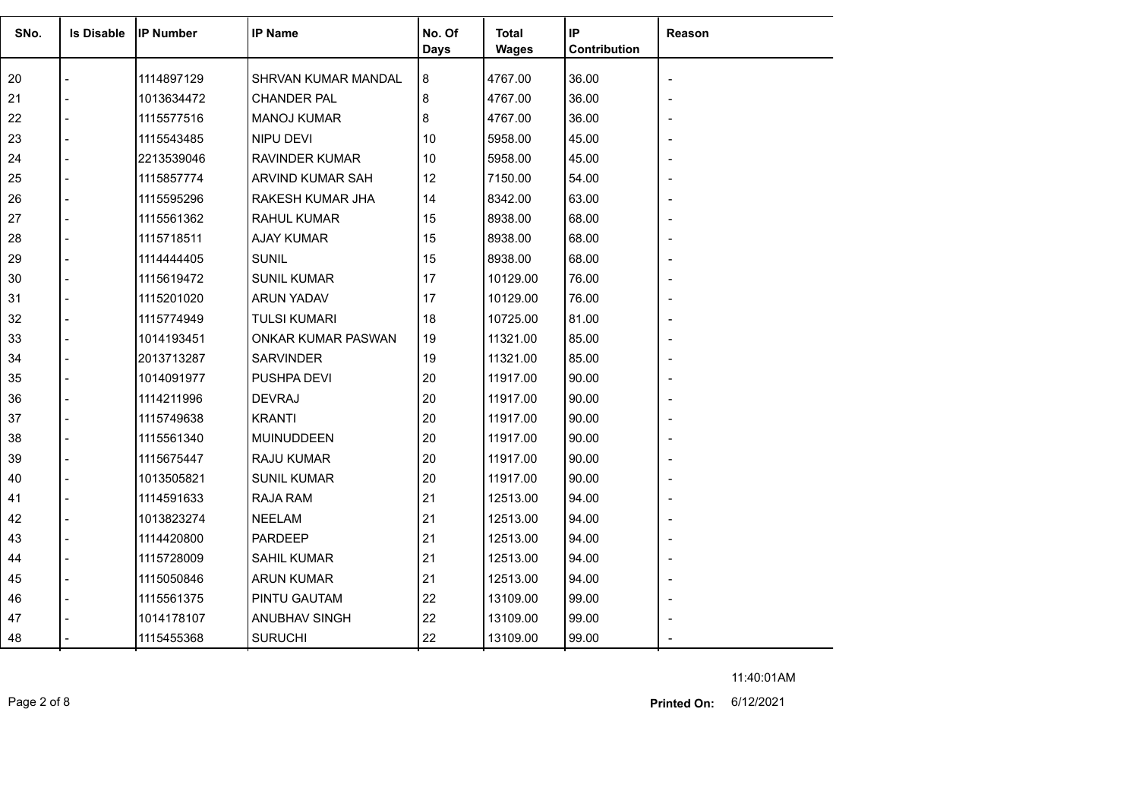| SNo. | <b>Is Disable</b> | <b>IP Number</b> | <b>IP Name</b>        | No. Of<br><b>Days</b> | <b>Total</b><br><b>Wages</b> | IP<br>Contribution | Reason |
|------|-------------------|------------------|-----------------------|-----------------------|------------------------------|--------------------|--------|
| 20   |                   | 1114897129       | SHRVAN KUMAR MANDAL   | 8                     | 4767.00                      | 36.00              |        |
| 21   |                   | 1013634472       | <b>CHANDER PAL</b>    | 8                     | 4767.00                      | 36.00              |        |
| 22   |                   | 1115577516       | <b>MANOJ KUMAR</b>    | 8                     | 4767.00                      | 36.00              |        |
| 23   |                   | 1115543485       | NIPU DEVI             | 10                    | 5958.00                      | 45.00              |        |
| 24   |                   | 2213539046       | <b>RAVINDER KUMAR</b> | 10                    | 5958.00                      | 45.00              |        |
| 25   |                   | 1115857774       | ARVIND KUMAR SAH      | 12                    | 7150.00                      | 54.00              |        |
| 26   |                   | 1115595296       | RAKESH KUMAR JHA      | 14                    | 8342.00                      | 63.00              |        |
| 27   |                   | 1115561362       | <b>RAHUL KUMAR</b>    | 15                    | 8938.00                      | 68.00              |        |
| 28   |                   | 1115718511       | <b>AJAY KUMAR</b>     | 15                    | 8938.00                      | 68.00              |        |
| 29   |                   | 1114444405       | <b>SUNIL</b>          | 15                    | 8938.00                      | 68.00              |        |
| 30   |                   | 1115619472       | <b>SUNIL KUMAR</b>    | 17                    | 10129.00                     | 76.00              |        |
| 31   |                   | 1115201020       | ARUN YADAV            | 17                    | 10129.00                     | 76.00              |        |
| 32   |                   | 1115774949       | <b>TULSI KUMARI</b>   | 18                    | 10725.00                     | 81.00              |        |
| 33   |                   | 1014193451       | ONKAR KUMAR PASWAN    | 19                    | 11321.00                     | 85.00              |        |
| 34   |                   | 2013713287       | <b>SARVINDER</b>      | 19                    | 11321.00                     | 85.00              |        |
| 35   |                   | 1014091977       | <b>PUSHPA DEVI</b>    | 20                    | 11917.00                     | 90.00              |        |
| 36   |                   | 1114211996       | <b>DEVRAJ</b>         | 20                    | 11917.00                     | 90.00              |        |
| 37   |                   | 1115749638       | <b>KRANTI</b>         | 20                    | 11917.00                     | 90.00              |        |
| 38   |                   | 1115561340       | MUINUDDEEN            | 20                    | 11917.00                     | 90.00              |        |
| 39   |                   | 1115675447       | RAJU KUMAR            | 20                    | 11917.00                     | 90.00              |        |
| 40   |                   | 1013505821       | <b>SUNIL KUMAR</b>    | 20                    | 11917.00                     | 90.00              |        |
| 41   |                   | 1114591633       | <b>RAJA RAM</b>       | 21                    | 12513.00                     | 94.00              |        |
| 42   |                   | 1013823274       | <b>NEELAM</b>         | 21                    | 12513.00                     | 94.00              |        |
| 43   |                   | 1114420800       | PARDEEP               | 21                    | 12513.00                     | 94.00              |        |
| 44   |                   | 1115728009       | <b>SAHIL KUMAR</b>    | 21                    | 12513.00                     | 94.00              |        |
| 45   |                   | 1115050846       | <b>ARUN KUMAR</b>     | 21                    | 12513.00                     | 94.00              |        |
| 46   |                   | 1115561375       | PINTU GAUTAM          | 22                    | 13109.00                     | 99.00              |        |
| 47   |                   | 1014178107       | <b>ANUBHAV SINGH</b>  | 22                    | 13109.00                     | 99.00              |        |
| 48   |                   | 1115455368       | <b>SURUCHI</b>        | 22                    | 13109.00                     | 99.00              |        |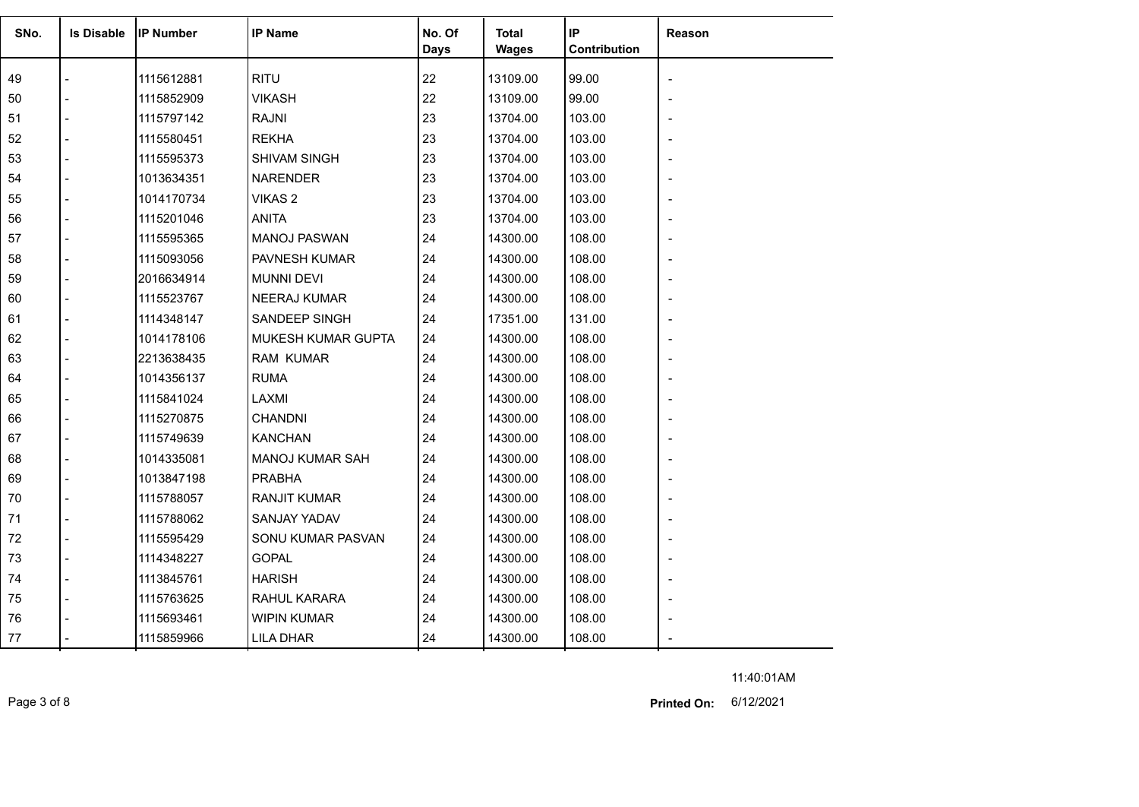| SNo. | <b>Is Disable</b>        | <b>IP Number</b> | <b>IP Name</b>         | No. Of<br><b>Days</b> | <b>Total</b><br><b>Wages</b> | IP<br>Contribution | Reason                   |
|------|--------------------------|------------------|------------------------|-----------------------|------------------------------|--------------------|--------------------------|
| 49   |                          | 1115612881       | <b>RITU</b>            | 22                    | 13109.00                     | 99.00              |                          |
| 50   |                          | 1115852909       | <b>VIKASH</b>          | 22                    | 13109.00                     | 99.00              |                          |
| 51   |                          | 1115797142       | <b>RAJNI</b>           | 23                    | 13704.00                     | 103.00             |                          |
| 52   |                          | 1115580451       | <b>REKHA</b>           | 23                    | 13704.00                     | 103.00             |                          |
| 53   |                          | 1115595373       | SHIVAM SINGH           | 23                    | 13704.00                     | 103.00             |                          |
| 54   |                          | 1013634351       | <b>NARENDER</b>        | 23                    | 13704.00                     | 103.00             |                          |
| 55   |                          | 1014170734       | VIKAS <sub>2</sub>     | 23                    | 13704.00                     | 103.00             |                          |
| 56   |                          | 1115201046       | <b>ANITA</b>           | 23                    | 13704.00                     | 103.00             |                          |
| 57   | $\overline{\phantom{0}}$ | 1115595365       | <b>MANOJ PASWAN</b>    | 24                    | 14300.00                     | 108.00             |                          |
| 58   |                          | 1115093056       | <b>PAVNESH KUMAR</b>   | 24                    | 14300.00                     | 108.00             |                          |
| 59   |                          | 2016634914       | <b>MUNNI DEVI</b>      | 24                    | 14300.00                     | 108.00             |                          |
| 60   |                          | 1115523767       | <b>NEERAJ KUMAR</b>    | 24                    | 14300.00                     | 108.00             |                          |
| 61   |                          | 1114348147       | SANDEEP SINGH          | 24                    | 17351.00                     | 131.00             |                          |
| 62   |                          | 1014178106       | MUKESH KUMAR GUPTA     | 24                    | 14300.00                     | 108.00             |                          |
| 63   |                          | 2213638435       | <b>RAM KUMAR</b>       | 24                    | 14300.00                     | 108.00             |                          |
| 64   |                          | 1014356137       | <b>RUMA</b>            | 24                    | 14300.00                     | 108.00             |                          |
| 65   |                          | 1115841024       | LAXMI                  | 24                    | 14300.00                     | 108.00             |                          |
| 66   |                          | 1115270875       | <b>CHANDNI</b>         | 24                    | 14300.00                     | 108.00             |                          |
| 67   | $\overline{a}$           | 1115749639       | <b>KANCHAN</b>         | 24                    | 14300.00                     | 108.00             |                          |
| 68   |                          | 1014335081       | <b>MANOJ KUMAR SAH</b> | 24                    | 14300.00                     | 108.00             | $\overline{\phantom{0}}$ |
| 69   |                          | 1013847198       | <b>PRABHA</b>          | 24                    | 14300.00                     | 108.00             |                          |
| 70   |                          | 1115788057       | <b>RANJIT KUMAR</b>    | 24                    | 14300.00                     | 108.00             |                          |
| 71   |                          | 1115788062       | SANJAY YADAV           | 24                    | 14300.00                     | 108.00             |                          |
| 72   |                          | 1115595429       | SONU KUMAR PASVAN      | 24                    | 14300.00                     | 108.00             |                          |
| 73   | $\overline{a}$           | 1114348227       | <b>GOPAL</b>           | 24                    | 14300.00                     | 108.00             |                          |
| 74   | $\sim$                   | 1113845761       | <b>HARISH</b>          | 24                    | 14300.00                     | 108.00             | $\overline{\phantom{a}}$ |
| 75   |                          | 1115763625       | RAHUL KARARA           | 24                    | 14300.00                     | 108.00             |                          |
| 76   |                          | 1115693461       | <b>WIPIN KUMAR</b>     | 24                    | 14300.00                     | 108.00             |                          |
| 77   |                          | 1115859966       | <b>LILA DHAR</b>       | 24                    | 14300.00                     | 108.00             |                          |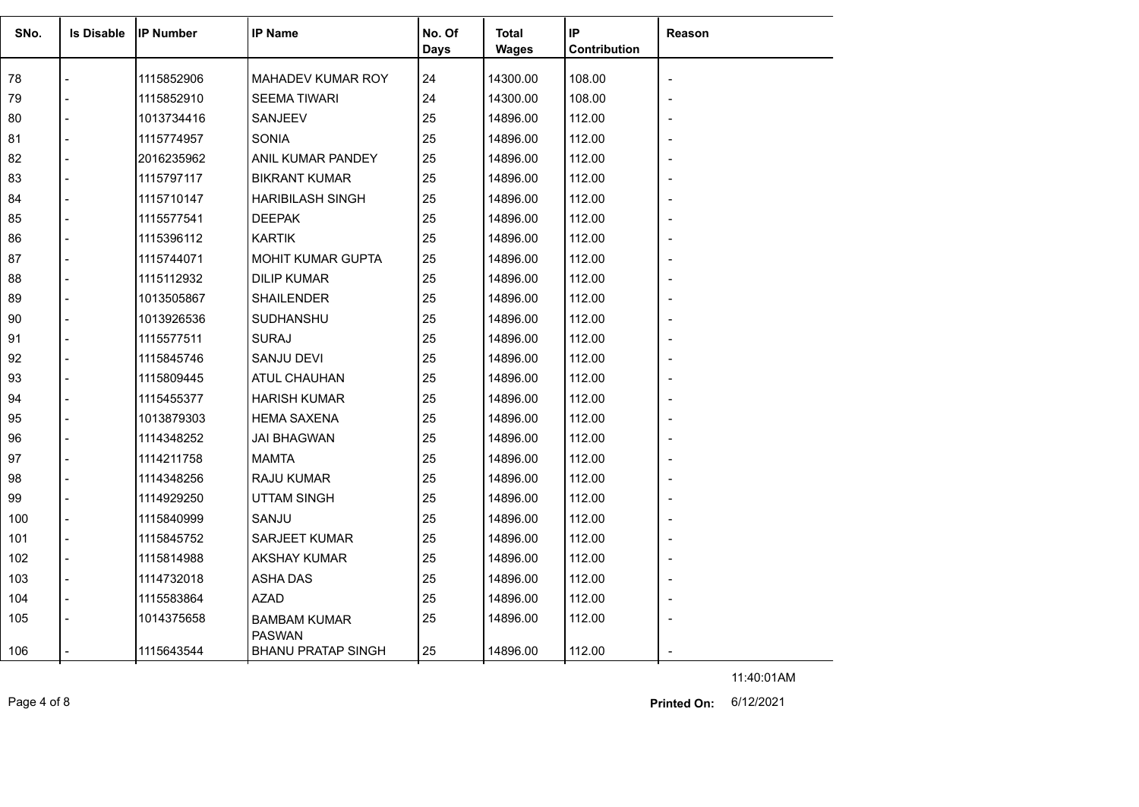| SNo. | <b>Is Disable</b> | <b>IP Number</b> | <b>IP Name</b>                       | No. Of<br>Days | Total<br><b>Wages</b> | IP<br><b>Contribution</b> | Reason |
|------|-------------------|------------------|--------------------------------------|----------------|-----------------------|---------------------------|--------|
| 78   |                   | 1115852906       | MAHADEV KUMAR ROY                    | 24             | 14300.00              | 108.00                    |        |
| 79   |                   | 1115852910       | <b>SEEMA TIWARI</b>                  | 24             | 14300.00              | 108.00                    |        |
| 80   |                   | 1013734416       | SANJEEV                              | 25             | 14896.00              | 112.00                    |        |
| 81   |                   | 1115774957       | <b>SONIA</b>                         | 25             | 14896.00              | 112.00                    |        |
| 82   |                   | 2016235962       | ANIL KUMAR PANDEY                    | 25             | 14896.00              | 112.00                    |        |
| 83   |                   | 1115797117       | <b>BIKRANT KUMAR</b>                 | 25             | 14896.00              | 112.00                    |        |
| 84   |                   | 1115710147       | <b>HARIBILASH SINGH</b>              | 25             | 14896.00              | 112.00                    |        |
| 85   |                   | 1115577541       | <b>DEEPAK</b>                        | 25             | 14896.00              | 112.00                    |        |
| 86   |                   | 1115396112       | <b>KARTIK</b>                        | 25             | 14896.00              | 112.00                    |        |
| 87   |                   | 1115744071       | <b>MOHIT KUMAR GUPTA</b>             | 25             | 14896.00              | 112.00                    |        |
| 88   |                   | 1115112932       | <b>DILIP KUMAR</b>                   | 25             | 14896.00              | 112.00                    |        |
| 89   |                   | 1013505867       | <b>SHAILENDER</b>                    | 25             | 14896.00              | 112.00                    |        |
| 90   |                   | 1013926536       | SUDHANSHU                            | 25             | 14896.00              | 112.00                    |        |
| 91   |                   | 1115577511       | <b>SURAJ</b>                         | 25             | 14896.00              | 112.00                    |        |
| 92   |                   | 1115845746       | <b>SANJU DEVI</b>                    | 25             | 14896.00              | 112.00                    |        |
| 93   |                   | 1115809445       | ATUL CHAUHAN                         | 25             | 14896.00              | 112.00                    |        |
| 94   |                   | 1115455377       | <b>HARISH KUMAR</b>                  | 25             | 14896.00              | 112.00                    |        |
| 95   |                   | 1013879303       | <b>HEMA SAXENA</b>                   | 25             | 14896.00              | 112.00                    |        |
| 96   |                   | 1114348252       | <b>JAI BHAGWAN</b>                   | 25             | 14896.00              | 112.00                    |        |
| 97   |                   | 1114211758       | <b>MAMTA</b>                         | 25             | 14896.00              | 112.00                    |        |
| 98   |                   | 1114348256       | RAJU KUMAR                           | 25             | 14896.00              | 112.00                    |        |
| 99   |                   | 1114929250       | <b>UTTAM SINGH</b>                   | 25             | 14896.00              | 112.00                    |        |
| 100  |                   | 1115840999       | SANJU                                | 25             | 14896.00              | 112.00                    |        |
| 101  |                   | 1115845752       | <b>SARJEET KUMAR</b>                 | 25             | 14896.00              | 112.00                    |        |
| 102  |                   | 1115814988       | <b>AKSHAY KUMAR</b>                  | 25             | 14896.00              | 112.00                    |        |
| 103  |                   | 1114732018       | <b>ASHA DAS</b>                      | 25             | 14896.00              | 112.00                    |        |
| 104  |                   | 1115583864       | <b>AZAD</b>                          | 25             | 14896.00              | 112.00                    |        |
| 105  |                   | 1014375658       | <b>BAMBAM KUMAR</b><br><b>PASWAN</b> | 25             | 14896.00              | 112.00                    |        |
| 106  |                   | 1115643544       | <b>BHANU PRATAP SINGH</b>            | 25             | 14896.00              | 112.00                    |        |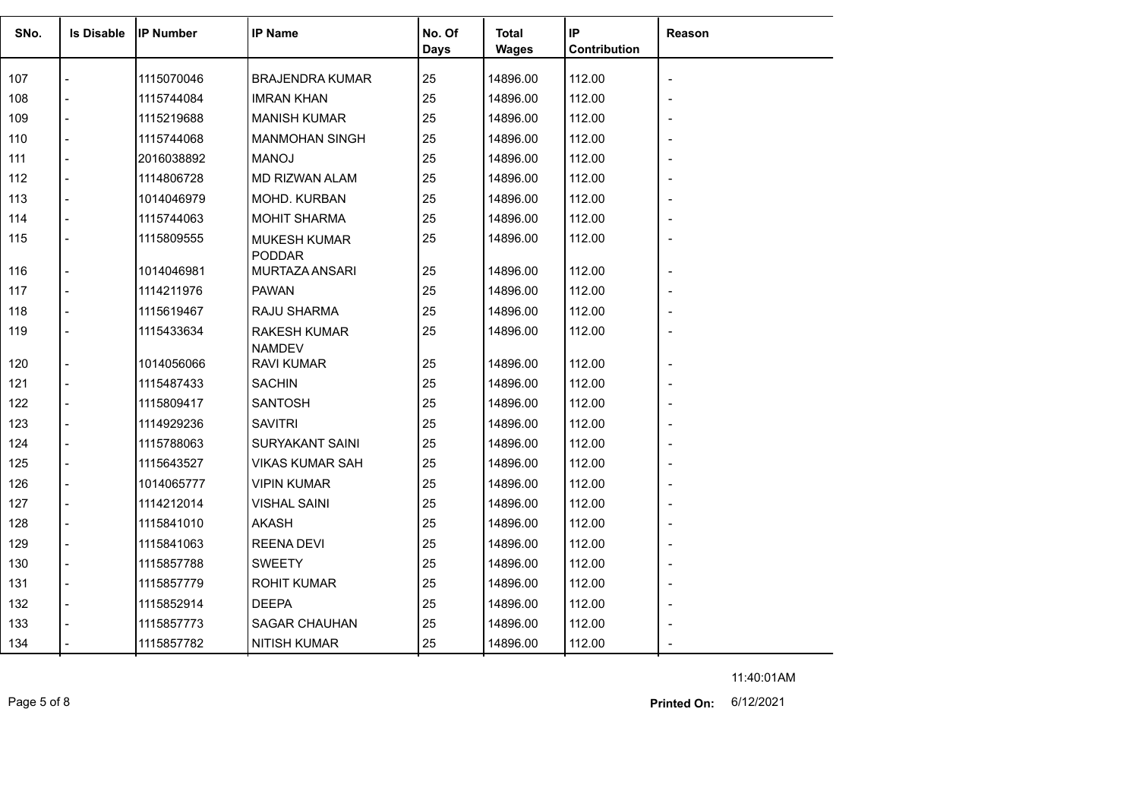| SNo. | <b>Is Disable</b> | lIP Number | <b>IP Name</b>              | No. Of<br>Days | <b>Total</b><br><b>Wages</b> | IP<br>Contribution | Reason |
|------|-------------------|------------|-----------------------------|----------------|------------------------------|--------------------|--------|
|      |                   |            |                             |                |                              |                    |        |
| 107  |                   | 1115070046 | <b>BRAJENDRA KUMAR</b>      | 25             | 14896.00                     | 112.00             |        |
| 108  |                   | 1115744084 | <b>IMRAN KHAN</b>           | 25             | 14896.00                     | 112.00             |        |
| 109  |                   | 1115219688 | <b>MANISH KUMAR</b>         | 25             | 14896.00                     | 112.00             |        |
| 110  |                   | 1115744068 | <b>MANMOHAN SINGH</b>       | 25             | 14896.00                     | 112.00             |        |
| 111  |                   | 2016038892 | <b>MANOJ</b>                | 25             | 14896.00                     | 112.00             |        |
| 112  |                   | 1114806728 | MD RIZWAN ALAM              | 25             | 14896.00                     | 112.00             |        |
| 113  |                   | 1014046979 | MOHD. KURBAN                | 25             | 14896.00                     | 112.00             |        |
| 114  |                   | 1115744063 | <b>MOHIT SHARMA</b>         | 25             | 14896.00                     | 112.00             |        |
| 115  |                   | 1115809555 | <b>MUKESH KUMAR</b>         | 25             | 14896.00                     | 112.00             |        |
|      |                   |            | <b>PODDAR</b>               |                |                              |                    |        |
| 116  |                   | 1014046981 | MURTAZA ANSARI              | 25             | 14896.00                     | 112.00             |        |
| 117  |                   | 1114211976 | <b>PAWAN</b>                | 25             | 14896.00                     | 112.00             |        |
| 118  |                   | 1115619467 | RAJU SHARMA                 | 25             | 14896.00                     | 112.00             |        |
| 119  |                   | 1115433634 | <b>RAKESH KUMAR</b>         | 25             | 14896.00                     | 112.00             |        |
| 120  |                   | 1014056066 | <b>NAMDEV</b><br>RAVI KUMAR | 25             | 14896.00                     | 112.00             |        |
| 121  |                   | 1115487433 | <b>SACHIN</b>               | 25             | 14896.00                     | 112.00             |        |
|      |                   |            | <b>SANTOSH</b>              | 25             |                              |                    |        |
| 122  |                   | 1115809417 |                             |                | 14896.00                     | 112.00             |        |
| 123  |                   | 1114929236 | <b>SAVITRI</b>              | 25             | 14896.00                     | 112.00             |        |
| 124  |                   | 1115788063 | <b>SURYAKANT SAINI</b>      | 25             | 14896.00                     | 112.00             |        |
| 125  |                   | 1115643527 | <b>VIKAS KUMAR SAH</b>      | 25             | 14896.00                     | 112.00             |        |
| 126  |                   | 1014065777 | <b>VIPIN KUMAR</b>          | 25             | 14896.00                     | 112.00             |        |
| 127  |                   | 1114212014 | <b>VISHAL SAINI</b>         | 25             | 14896.00                     | 112.00             |        |
| 128  |                   | 1115841010 | <b>AKASH</b>                | 25             | 14896.00                     | 112.00             |        |
| 129  |                   | 1115841063 | REENA DEVI                  | 25             | 14896.00                     | 112.00             |        |
| 130  |                   | 1115857788 | <b>SWEETY</b>               | 25             | 14896.00                     | 112.00             |        |
| 131  |                   | 1115857779 | <b>ROHIT KUMAR</b>          | 25             | 14896.00                     | 112.00             |        |
| 132  |                   | 1115852914 | <b>DEEPA</b>                | 25             | 14896.00                     | 112.00             |        |
| 133  |                   | 1115857773 | <b>SAGAR CHAUHAN</b>        | 25             | 14896.00                     | 112.00             |        |
| 134  |                   | 1115857782 | <b>NITISH KUMAR</b>         | 25             | 14896.00                     | 112.00             |        |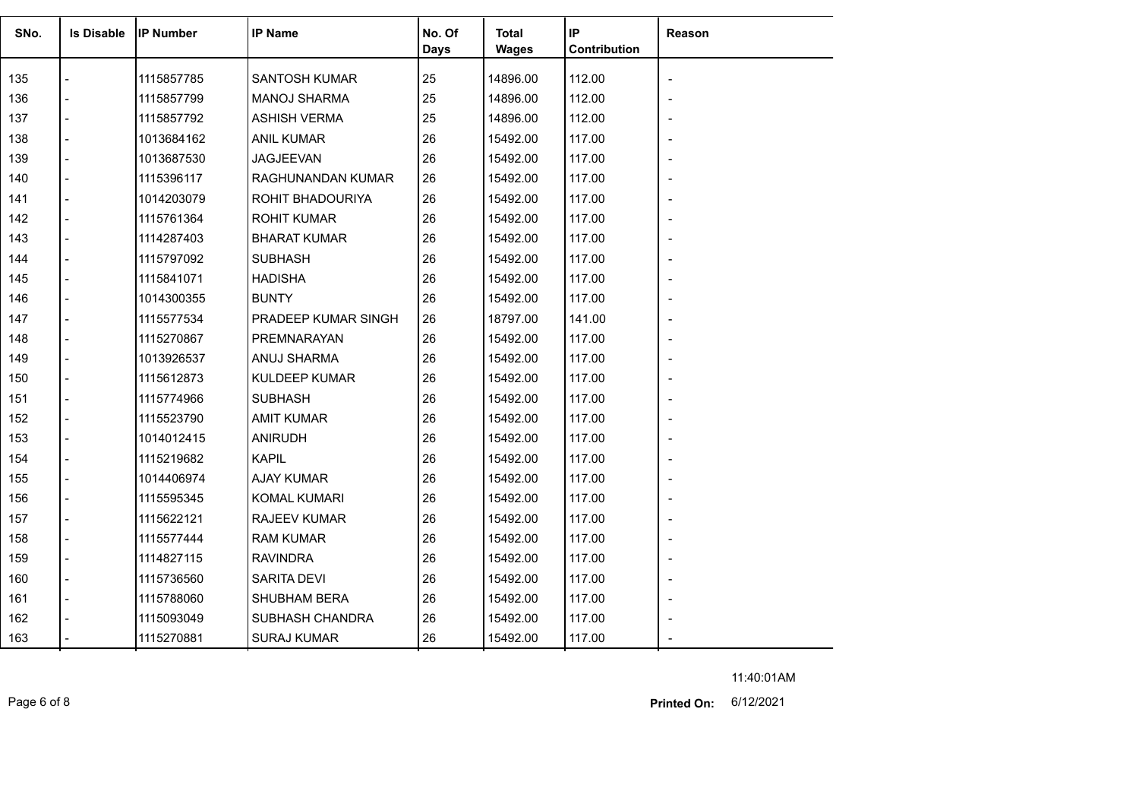| SNo. | <b>Is Disable</b> | <b>IP Number</b> | <b>IP Name</b>       | No. Of<br><b>Days</b> | Total<br><b>Wages</b> | IP<br>Contribution | Reason |
|------|-------------------|------------------|----------------------|-----------------------|-----------------------|--------------------|--------|
| 135  |                   | 1115857785       | <b>SANTOSH KUMAR</b> | 25                    | 14896.00              | 112.00             |        |
| 136  |                   | 1115857799       | <b>MANOJ SHARMA</b>  | 25                    | 14896.00              | 112.00             |        |
| 137  |                   | 1115857792       | <b>ASHISH VERMA</b>  | 25                    | 14896.00              | 112.00             |        |
| 138  |                   | 1013684162       | <b>ANIL KUMAR</b>    | 26                    | 15492.00              | 117.00             |        |
| 139  |                   | 1013687530       | JAGJEEVAN            | 26                    | 15492.00              | 117.00             |        |
| 140  |                   | 1115396117       | RAGHUNANDAN KUMAR    | 26                    | 15492.00              | 117.00             |        |
| 141  |                   | 1014203079       | ROHIT BHADOURIYA     | 26                    | 15492.00              | 117.00             |        |
| 142  |                   | 1115761364       | <b>ROHIT KUMAR</b>   | 26                    | 15492.00              | 117.00             |        |
| 143  |                   | 1114287403       | <b>BHARAT KUMAR</b>  | 26                    | 15492.00              | 117.00             |        |
| 144  |                   | 1115797092       | <b>SUBHASH</b>       | 26                    | 15492.00              | 117.00             |        |
| 145  |                   | 1115841071       | <b>HADISHA</b>       | 26                    | 15492.00              | 117.00             |        |
| 146  |                   | 1014300355       | <b>BUNTY</b>         | 26                    | 15492.00              | 117.00             |        |
| 147  |                   | 1115577534       | PRADEEP KUMAR SINGH  | 26                    | 18797.00              | 141.00             |        |
| 148  |                   | 1115270867       | PREMNARAYAN          | 26                    | 15492.00              | 117.00             |        |
| 149  |                   | 1013926537       | ANUJ SHARMA          | 26                    | 15492.00              | 117.00             |        |
| 150  |                   | 1115612873       | <b>KULDEEP KUMAR</b> | 26                    | 15492.00              | 117.00             |        |
| 151  |                   | 1115774966       | <b>SUBHASH</b>       | 26                    | 15492.00              | 117.00             |        |
| 152  |                   | 1115523790       | <b>AMIT KUMAR</b>    | 26                    | 15492.00              | 117.00             |        |
| 153  |                   | 1014012415       | <b>ANIRUDH</b>       | 26                    | 15492.00              | 117.00             |        |
| 154  |                   | 1115219682       | <b>KAPIL</b>         | 26                    | 15492.00              | 117.00             |        |
| 155  |                   | 1014406974       | <b>AJAY KUMAR</b>    | 26                    | 15492.00              | 117.00             |        |
| 156  |                   | 1115595345       | KOMAL KUMARI         | 26                    | 15492.00              | 117.00             |        |
| 157  |                   | 1115622121       | RAJEEV KUMAR         | 26                    | 15492.00              | 117.00             |        |
| 158  |                   | 1115577444       | <b>RAM KUMAR</b>     | 26                    | 15492.00              | 117.00             |        |
| 159  |                   | 1114827115       | <b>RAVINDRA</b>      | 26                    | 15492.00              | 117.00             |        |
| 160  | $\overline{a}$    | 1115736560       | <b>SARITA DEVI</b>   | 26                    | 15492.00              | 117.00             |        |
| 161  |                   | 1115788060       | <b>SHUBHAM BERA</b>  | 26                    | 15492.00              | 117.00             |        |
| 162  |                   | 1115093049       | SUBHASH CHANDRA      | 26                    | 15492.00              | 117.00             |        |
| 163  |                   | 1115270881       | <b>SURAJ KUMAR</b>   | 26                    | 15492.00              | 117.00             |        |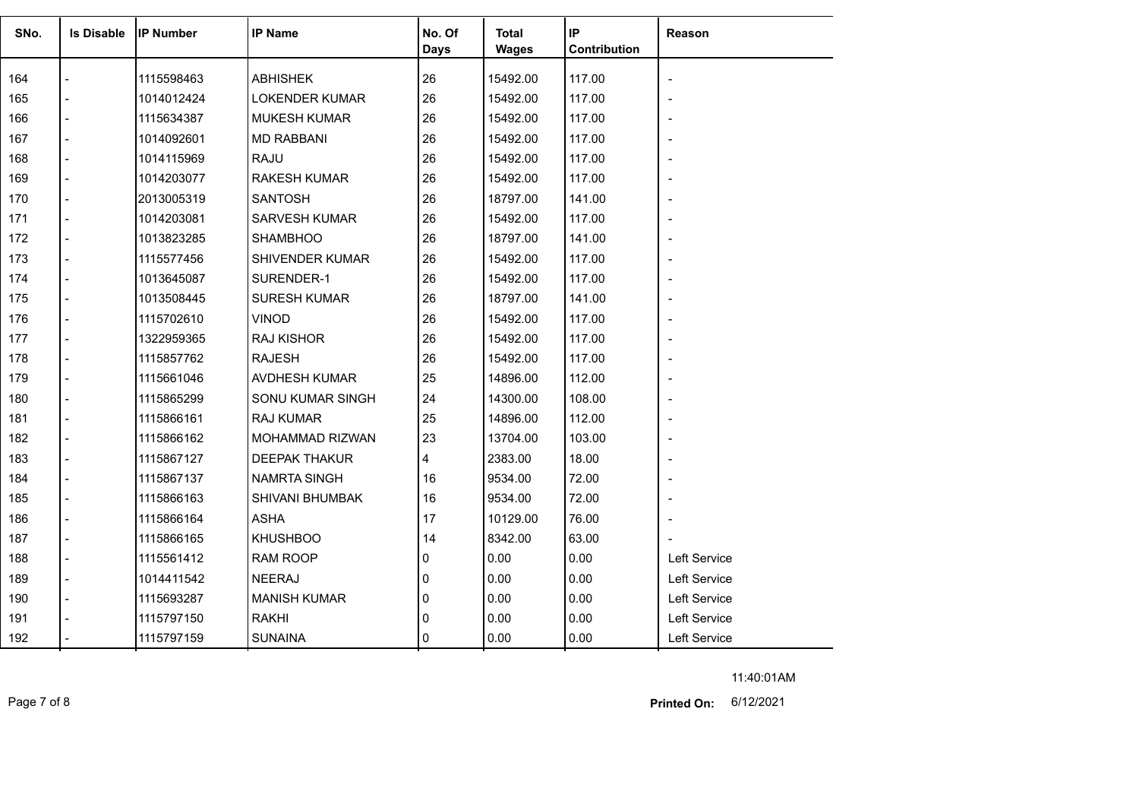|      | <b>Is Disable</b> |                  | <b>IP Name</b>         |                |                       | IP           |                          |
|------|-------------------|------------------|------------------------|----------------|-----------------------|--------------|--------------------------|
| SNo. |                   | <b>IP Number</b> |                        | No. Of<br>Days | <b>Total</b><br>Wages | Contribution | Reason                   |
|      |                   |                  |                        |                |                       |              |                          |
| 164  |                   | 1115598463       | <b>ABHISHEK</b>        | 26             | 15492.00              | 117.00       | $\overline{a}$           |
| 165  |                   | 1014012424       | <b>LOKENDER KUMAR</b>  | 26             | 15492.00              | 117.00       |                          |
| 166  |                   | 1115634387       | <b>MUKESH KUMAR</b>    | 26             | 15492.00              | 117.00       | $\overline{\phantom{a}}$ |
| 167  |                   | 1014092601       | <b>MD RABBANI</b>      | 26             | 15492.00              | 117.00       | $\overline{\phantom{a}}$ |
| 168  |                   | 1014115969       | <b>RAJU</b>            | 26             | 15492.00              | 117.00       |                          |
| 169  |                   | 1014203077       | <b>RAKESH KUMAR</b>    | 26             | 15492.00              | 117.00       | $\overline{\phantom{0}}$ |
| 170  |                   | 2013005319       | <b>SANTOSH</b>         | 26             | 18797.00              | 141.00       | $\overline{\phantom{a}}$ |
| 171  |                   | 1014203081       | <b>SARVESH KUMAR</b>   | 26             | 15492.00              | 117.00       |                          |
| 172  |                   | 1013823285       | <b>SHAMBHOO</b>        | 26             | 18797.00              | 141.00       | $\overline{\phantom{a}}$ |
| 173  |                   | 1115577456       | <b>SHIVENDER KUMAR</b> | 26             | 15492.00              | 117.00       | $\overline{a}$           |
| 174  |                   | 1013645087       | SURENDER-1             | 26             | 15492.00              | 117.00       |                          |
| 175  |                   | 1013508445       | <b>SURESH KUMAR</b>    | 26             | 18797.00              | 141.00       | $\overline{\phantom{a}}$ |
| 176  |                   | 1115702610       | <b>VINOD</b>           | 26             | 15492.00              | 117.00       | $\overline{\phantom{a}}$ |
| 177  |                   | 1322959365       | <b>RAJ KISHOR</b>      | 26             | 15492.00              | 117.00       |                          |
| 178  |                   | 1115857762       | <b>RAJESH</b>          | 26             | 15492.00              | 117.00       | $\overline{\phantom{0}}$ |
| 179  |                   | 1115661046       | AVDHESH KUMAR          | 25             | 14896.00              | 112.00       |                          |
| 180  |                   | 1115865299       | SONU KUMAR SINGH       | 24             | 14300.00              | 108.00       | $\overline{\phantom{a}}$ |
| 181  |                   | 1115866161       | <b>RAJ KUMAR</b>       | 25             | 14896.00              | 112.00       | $\overline{\phantom{a}}$ |
| 182  |                   | 1115866162       | MOHAMMAD RIZWAN        | 23             | 13704.00              | 103.00       | $\overline{\phantom{a}}$ |
| 183  |                   | 1115867127       | <b>DEEPAK THAKUR</b>   | 4              | 2383.00               | 18.00        | $\overline{\phantom{a}}$ |
| 184  |                   | 1115867137       | <b>NAMRTA SINGH</b>    | 16             | 9534.00               | 72.00        | $\overline{\phantom{a}}$ |
| 185  |                   | 1115866163       | <b>SHIVANI BHUMBAK</b> | 16             | 9534.00               | 72.00        |                          |
| 186  |                   | 1115866164       | <b>ASHA</b>            | 17             | 10129.00              | 76.00        |                          |
| 187  |                   | 1115866165       | <b>KHUSHBOO</b>        | 14             | 8342.00               | 63.00        |                          |
| 188  |                   | 1115561412       | <b>RAM ROOP</b>        | 0              | 0.00                  | 0.00         | Left Service             |
| 189  |                   | 1014411542       | <b>NEERAJ</b>          | 0              | 0.00                  | 0.00         | Left Service             |
| 190  |                   | 1115693287       | <b>MANISH KUMAR</b>    | 0              | 0.00                  | 0.00         | Left Service             |
| 191  |                   | 1115797150       | <b>RAKHI</b>           | 0              | 0.00                  | 0.00         | Left Service             |
| 192  |                   | 1115797159       | <b>SUNAINA</b>         | 0              | 0.00                  | 0.00         | Left Service             |